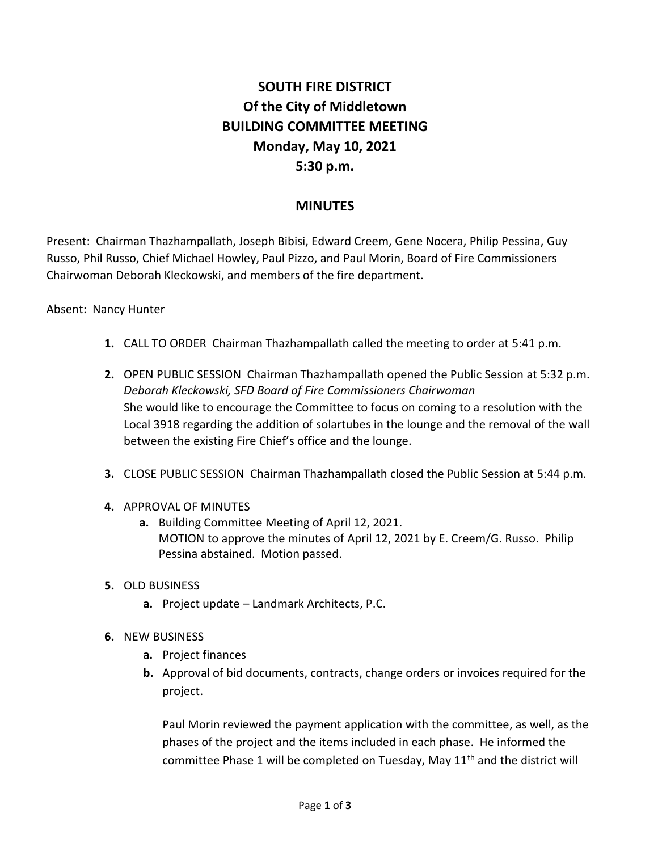## **SOUTH FIRE DISTRICT Of the City of Middletown BUILDING COMMITTEE MEETING Monday, May 10, 2021 5:30 p.m.**

## **MINUTES**

Present: Chairman Thazhampallath, Joseph Bibisi, Edward Creem, Gene Nocera, Philip Pessina, Guy Russo, Phil Russo, Chief Michael Howley, Paul Pizzo, and Paul Morin, Board of Fire Commissioners Chairwoman Deborah Kleckowski, and members of the fire department.

## Absent: Nancy Hunter

- **1.** CALL TO ORDER Chairman Thazhampallath called the meeting to order at 5:41 p.m.
- **2.** OPEN PUBLIC SESSION Chairman Thazhampallath opened the Public Session at 5:32 p.m. *Deborah Kleckowski, SFD Board of Fire Commissioners Chairwoman* She would like to encourage the Committee to focus on coming to a resolution with the Local 3918 regarding the addition of solartubes in the lounge and the removal of the wall between the existing Fire Chief's office and the lounge.
- **3.** CLOSE PUBLIC SESSION Chairman Thazhampallath closed the Public Session at 5:44 p.m.
- **4.** APPROVAL OF MINUTES
	- **a.** Building Committee Meeting of April 12, 2021. MOTION to approve the minutes of April 12, 2021 by E. Creem/G. Russo. Philip Pessina abstained. Motion passed.
- **5.** OLD BUSINESS
	- **a.** Project update Landmark Architects, P.C.
- **6.** NEW BUSINESS
	- **a.** Project finances
	- **b.** Approval of bid documents, contracts, change orders or invoices required for the project.

Paul Morin reviewed the payment application with the committee, as well, as the phases of the project and the items included in each phase. He informed the committee Phase 1 will be completed on Tuesday, May  $11<sup>th</sup>$  and the district will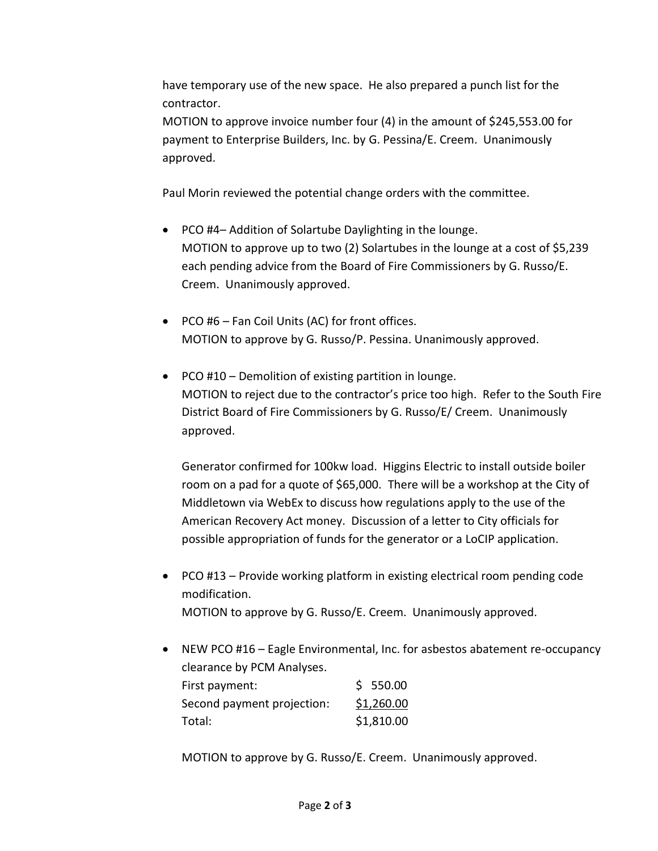have temporary use of the new space. He also prepared a punch list for the contractor.

MOTION to approve invoice number four (4) in the amount of \$245,553.00 for payment to Enterprise Builders, Inc. by G. Pessina/E. Creem. Unanimously approved.

Paul Morin reviewed the potential change orders with the committee.

- PCO #4– Addition of Solartube Daylighting in the lounge. MOTION to approve up to two (2) Solartubes in the lounge at a cost of \$5,239 each pending advice from the Board of Fire Commissioners by G. Russo/E. Creem. Unanimously approved.
- PCO #6 Fan Coil Units (AC) for front offices. MOTION to approve by G. Russo/P. Pessina. Unanimously approved.
- PCO #10 Demolition of existing partition in lounge. MOTION to reject due to the contractor's price too high. Refer to the South Fire District Board of Fire Commissioners by G. Russo/E/ Creem. Unanimously approved.

Generator confirmed for 100kw load. Higgins Electric to install outside boiler room on a pad for a quote of \$65,000. There will be a workshop at the City of Middletown via WebEx to discuss how regulations apply to the use of the American Recovery Act money. Discussion of a letter to City officials for possible appropriation of funds for the generator or a LoCIP application.

- PCO #13 Provide working platform in existing electrical room pending code modification. MOTION to approve by G. Russo/E. Creem. Unanimously approved.
- NEW PCO #16 Eagle Environmental, Inc. for asbestos abatement re-occupancy clearance by PCM Analyses. First payment:  $\zeta$  550.00

| .                          | ------     |
|----------------------------|------------|
| Second payment projection: | \$1,260.00 |
| Total:                     | \$1,810.00 |

MOTION to approve by G. Russo/E. Creem. Unanimously approved.